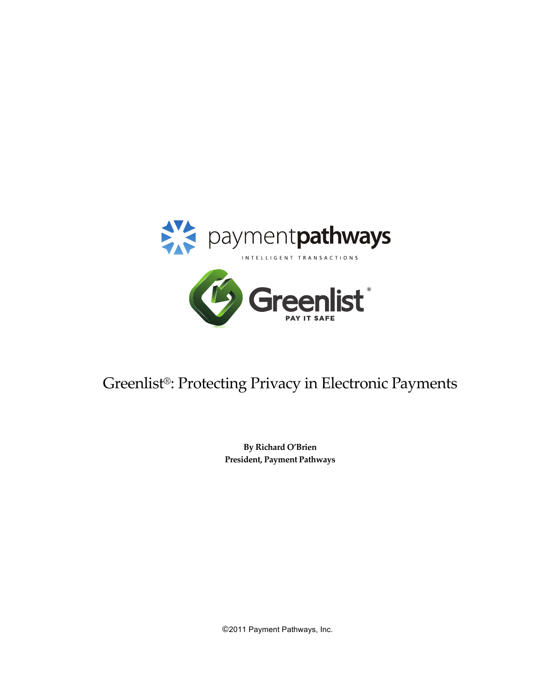

# Greenlist®: Protecting Privacy in Electronic Payments

**By Richard O'Brien President, Payment Pathways** 

©2011 Payment Pathways, Inc.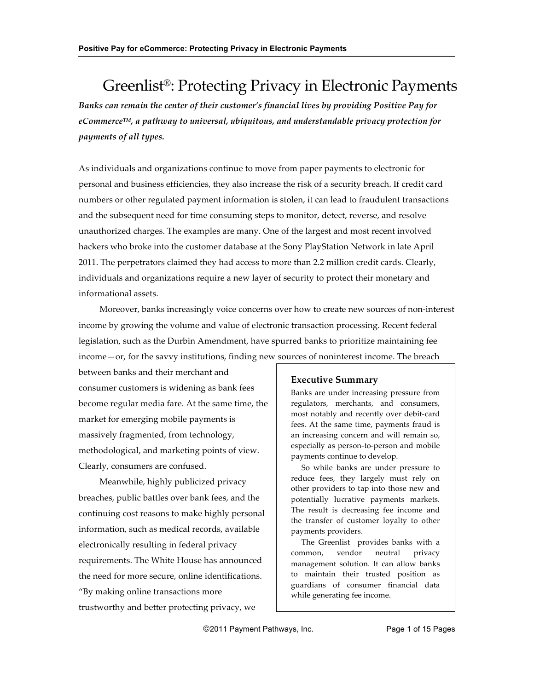## Greenlist<sup>®</sup>: Protecting Privacy in Electronic Payments

Banks can remain the center of their customer's financial lives by providing Positive Pay for *eCommerce™, a pathway to universal, ubiquitous, and understandable privacy protection for payments&of&all&types.*

As individuals and organizations continue to move from paper payments to electronic for personal and business efficiencies, they also increase the risk of a security breach. If credit card numbers or other regulated payment information is stolen, it can lead to fraudulent transactions and the subsequent need for time consuming steps to monitor, detect, reverse, and resolve unauthorized charges. The examples are many. One of the largest and most recent involved hackers who broke into the customer database at the Sony PlayStation Network in late April 2011. The perpetrators claimed they had access to more than 2.2 million credit cards. Clearly, individuals and organizations require a new layer of security to protect their monetary and informational assets.

Moreover, banks increasingly voice concerns over how to create new sources of non-interest income by growing the volume and value of electronic transaction processing. Recent federal legislation, such as the Durbin Amendment, have spurred banks to prioritize maintaining fee income—or, for the savvy institutions, finding new sources of noninterest income. The breach

between banks and their merchant and consumer customers is widening as bank fees become regular media fare. At the same time, the market for emerging mobile payments is massively fragmented, from technology, methodological, and marketing points of view. Clearly, consumers are confused.

Meanwhile, highly publicized privacy breaches, public battles over bank fees, and the continuing cost reasons to make highly personal information, such as medical records, available electronically resulting in federal privacy requirements. The White House has announced the need for more secure, online identifications. "By making online transactions more trustworthy and better protecting privacy, we

### **Executive Summary**

Banks are under increasing pressure from regulators, merchants, and consumers, most notably and recently over debit-card fees. At the same time, payments fraud is an increasing concern and will remain so, especially as person-to-person and mobile payments continue to develop.

So while banks are under pressure to reduce fees, they largely must rely on other providers to tap into those new and potentially lucrative payments markets. The result is decreasing fee income and the transfer of customer loyalty to other payments providers.

The Greenlist provides banks with a common, vendor neutral privacy management solution. It can allow banks to maintain their trusted position as guardians of consumer financial data while generating fee income.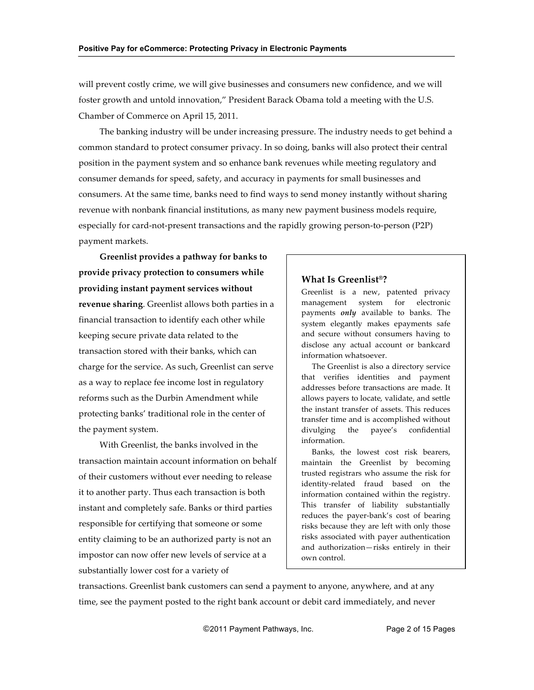will prevent costly crime, we will give businesses and consumers new confidence, and we will foster growth and untold innovation," President Barack Obama told a meeting with the U.S. Chamber of Commerce on April 15, 2011.

The banking industry will be under increasing pressure. The industry needs to get behind a common standard to protect consumer privacy. In so doing, banks will also protect their central position in the payment system and so enhance bank revenues while meeting regulatory and consumer demands for speed, safety, and accuracy in payments for small businesses and consumers. At the same time, banks need to find ways to send money instantly without sharing revenue with nonbank financial institutions, as many new payment business models require, especially for card-not-present transactions and the rapidly growing person-to-person (P2P) payment markets.

**Greenlist provides a pathway for banks to** provide privacy protection to consumers while providing instant payment services without **revenue sharing**. Greenlist allows both parties in a financial transaction to identify each other while keeping secure private data related to the transaction stored with their banks, which can charge for the service. As such, Greenlist can serve as a way to replace fee income lost in regulatory reforms such as the Durbin Amendment while protecting banks' traditional role in the center of the payment system.

With Greenlist, the banks involved in the transaction maintain account information on behalf of their customers without ever needing to release it to another party. Thus each transaction is both instant and completely safe. Banks or third parties responsible for certifying that someone or some entity claiming to be an authorized party is not an impostor can now offer new levels of service at a substantially lower cost for a variety of

#### **What Is Greenlist<sup>®</sup>?**

Greenlist is a new, patented privacy management system for electronic payments *only* available to banks. The system elegantly makes epayments safe and secure without consumers having to disclose any actual account or bankcard information whatsoever.

The Greenlist is also a directory service that verifies identities and payment addresses before transactions are made. It allows payers to locate, validate, and settle the instant transfer of assets. This reduces transfer time and is accomplished without divulging the payee's confidential information.

Banks, the lowest cost risk bearers, maintain the Greenlist by becoming trusted registrars who assume the risk for identity-related fraud based on the information contained within the registry. This transfer of liability substantially reduces the payer-bank's cost of bearing risks because they are left with only those risks associated with payer authentication and authorization—risks entirely in their own control.

transactions. Greenlist bank customers can send a payment to anyone, anywhere, and at any time, see the payment posted to the right bank account or debit card immediately, and never

©2011 Payment Pathways, Inc. Page 2 of 15 Pages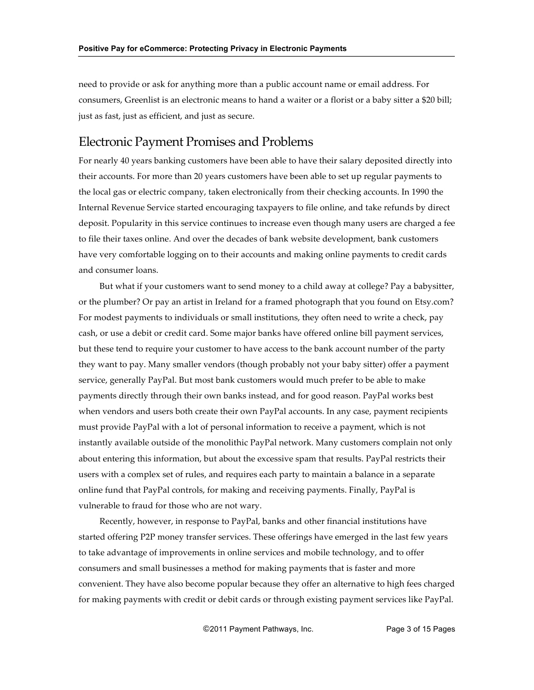need to provide or ask for anything more than a public account name or email address. For consumers, Greenlist is an electronic means to hand a waiter or a florist or a baby sitter a \$20 bill; just as fast, just as efficient, and just as secure.

### Electronic Payment Promises and Problems

For nearly 40 years banking customers have been able to have their salary deposited directly into their accounts. For more than 20 years customers have been able to set up regular payments to the local gas or electric company, taken electronically from their checking accounts. In 1990 the Internal Revenue Service started encouraging taxpayers to file online, and take refunds by direct deposit. Popularity in this service continues to increase even though many users are charged a fee to file their taxes online. And over the decades of bank website development, bank customers have very comfortable logging on to their accounts and making online payments to credit cards and consumer loans.

But what if your customers want to send money to a child away at college? Pay a babysitter, or the plumber? Or pay an artist in Ireland for a framed photograph that you found on Etsy.com? For modest payments to individuals or small institutions, they often need to write a check, pay cash, or use a debit or credit card. Some major banks have offered online bill payment services, but these tend to require your customer to have access to the bank account number of the party they want to pay. Many smaller vendors (though probably not your baby sitter) offer a payment service, generally PayPal. But most bank customers would much prefer to be able to make payments directly through their own banks instead, and for good reason. PayPal works best when vendors and users both create their own PayPal accounts. In any case, payment recipients must provide PayPal with a lot of personal information to receive a payment, which is not instantly available outside of the monolithic PayPal network. Many customers complain not only about entering this information, but about the excessive spam that results. PayPal restricts their users with a complex set of rules, and requires each party to maintain a balance in a separate online fund that PayPal controls, for making and receiving payments. Finally, PayPal is vulnerable to fraud for those who are not wary.

Recently, however, in response to PayPal, banks and other financial institutions have started offering P2P money transfer services. These offerings have emerged in the last few years to take advantage of improvements in online services and mobile technology, and to offer consumers and small businesses a method for making payments that is faster and more convenient. They have also become popular because they offer an alternative to high fees charged for making payments with credit or debit cards or through existing payment services like PayPal.

©2011 Payment Pathways, Inc. Page 3 of 15 Pages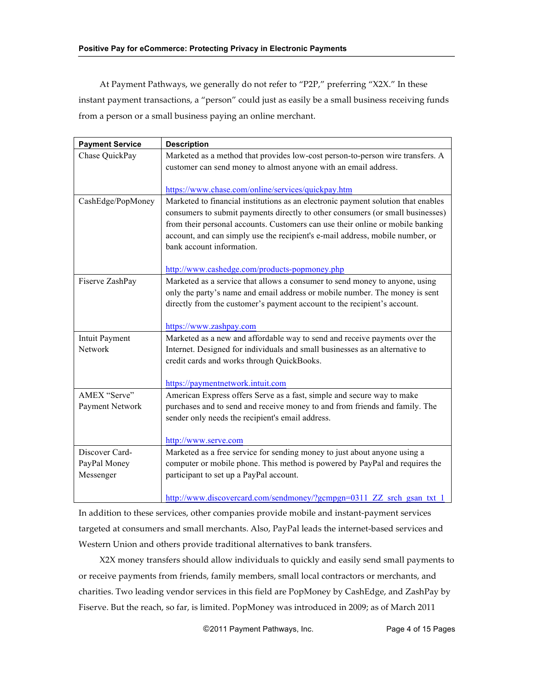At Payment Pathways, we generally do not refer to "P2P," preferring "X2X." In these instant payment transactions, a "person" could just as easily be a small business receiving funds from a person or a small business paying an online merchant.

| <b>Payment Service</b> | <b>Description</b>                                                                                                                                               |
|------------------------|------------------------------------------------------------------------------------------------------------------------------------------------------------------|
| Chase QuickPay         | Marketed as a method that provides low-cost person-to-person wire transfers. A                                                                                   |
|                        | customer can send money to almost anyone with an email address.                                                                                                  |
|                        |                                                                                                                                                                  |
|                        | https://www.chase.com/online/services/quickpay.htm                                                                                                               |
| CashEdge/PopMoney      | Marketed to financial institutions as an electronic payment solution that enables                                                                                |
|                        | consumers to submit payments directly to other consumers (or small businesses)<br>from their personal accounts. Customers can use their online or mobile banking |
|                        | account, and can simply use the recipient's e-mail address, mobile number, or                                                                                    |
|                        | bank account information.                                                                                                                                        |
|                        |                                                                                                                                                                  |
|                        | http://www.cashedge.com/products-popmoney.php                                                                                                                    |
| Fiserve ZashPay        | Marketed as a service that allows a consumer to send money to anyone, using                                                                                      |
|                        | only the party's name and email address or mobile number. The money is sent                                                                                      |
|                        | directly from the customer's payment account to the recipient's account.                                                                                         |
|                        |                                                                                                                                                                  |
|                        | https://www.zashpay.com                                                                                                                                          |
| <b>Intuit Payment</b>  | Marketed as a new and affordable way to send and receive payments over the                                                                                       |
| Network                | Internet. Designed for individuals and small businesses as an alternative to                                                                                     |
|                        | credit cards and works through QuickBooks.                                                                                                                       |
|                        | https://paymentnetwork.intuit.com                                                                                                                                |
| AMEX "Serve"           | American Express offers Serve as a fast, simple and secure way to make                                                                                           |
| Payment Network        | purchases and to send and receive money to and from friends and family. The                                                                                      |
|                        | sender only needs the recipient's email address.                                                                                                                 |
|                        |                                                                                                                                                                  |
|                        | http://www.serve.com                                                                                                                                             |
| Discover Card-         | Marketed as a free service for sending money to just about anyone using a                                                                                        |
| PayPal Money           | computer or mobile phone. This method is powered by PayPal and requires the                                                                                      |
| Messenger              | participant to set up a PayPal account.                                                                                                                          |
|                        | http://www.discovercard.com/sendmoney/?gcmpgn=0311 ZZ srch gsan txt 1                                                                                            |

In addition to these services, other companies provide mobile and instant-payment services targeted at consumers and small merchants. Also, PayPal leads the internet-based services and Western Union and others provide traditional alternatives to bank transfers.

X2X money transfers should allow individuals to quickly and easily send small payments to or receive payments from friends, family members, small local contractors or merchants, and charities. Two leading vendor services in this field are PopMoney by CashEdge, and ZashPay by Fiserve. But the reach, so far, is limited. PopMoney was introduced in 2009; as of March 2011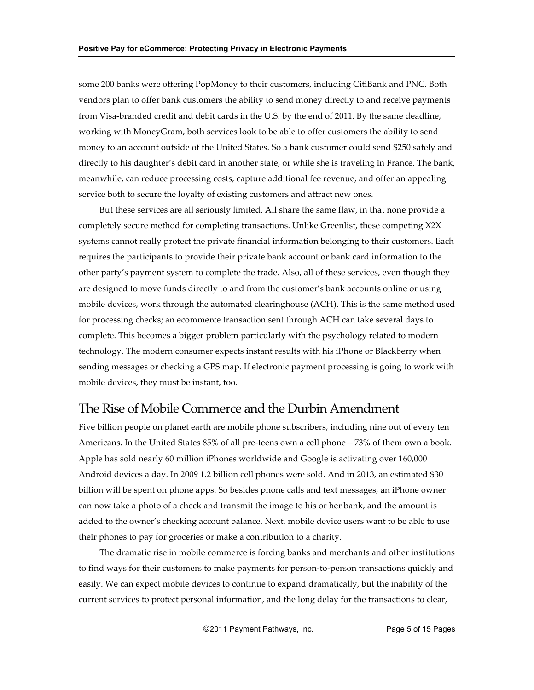some 200 banks were offering PopMoney to their customers, including CitiBank and PNC. Both vendors plan to offer bank customers the ability to send money directly to and receive payments from Visa-branded credit and debit cards in the U.S. by the end of 2011. By the same deadline, working with MoneyGram, both services look to be able to offer customers the ability to send money to an account outside of the United States. So a bank customer could send \$250 safely and directly to his daughter's debit card in another state, or while she is traveling in France. The bank, meanwhile, can reduce processing costs, capture additional fee revenue, and offer an appealing service both to secure the loyalty of existing customers and attract new ones.

But these services are all seriously limited. All share the same flaw, in that none provide a completely secure method for completing transactions. Unlike Greenlist, these competing X2X systems cannot really protect the private financial information belonging to their customers. Each requires the participants to provide their private bank account or bank card information to the other party's payment system to complete the trade. Also, all of these services, even though they are designed to move funds directly to and from the customer's bank accounts online or using mobile devices, work through the automated clearinghouse (ACH). This is the same method used for processing checks; an ecommerce transaction sent through ACH can take several days to complete. This becomes a bigger problem particularly with the psychology related to modern technology. The modern consumer expects instant results with his iPhone or Blackberry when sending messages or checking a GPS map. If electronic payment processing is going to work with mobile devices, they must be instant, too.

### The Rise of Mobile Commerce and the Durbin Amendment

Five billion people on planet earth are mobile phone subscribers, including nine out of every ten Americans. In the United States 85% of all pre-teens own a cell phone—73% of them own a book. Apple has sold nearly 60 million iPhones worldwide and Google is activating over 160,000 Android devices a day. In 2009 1.2 billion cell phones were sold. And in 2013, an estimated \$30 billion will be spent on phone apps. So besides phone calls and text messages, an iPhone owner can now take a photo of a check and transmit the image to his or her bank, and the amount is added to the owner's checking account balance. Next, mobile device users want to be able to use their phones to pay for groceries or make a contribution to a charity.

The dramatic rise in mobile commerce is forcing banks and merchants and other institutions to find ways for their customers to make payments for person-to-person transactions quickly and easily. We can expect mobile devices to continue to expand dramatically, but the inability of the current services to protect personal information, and the long delay for the transactions to clear,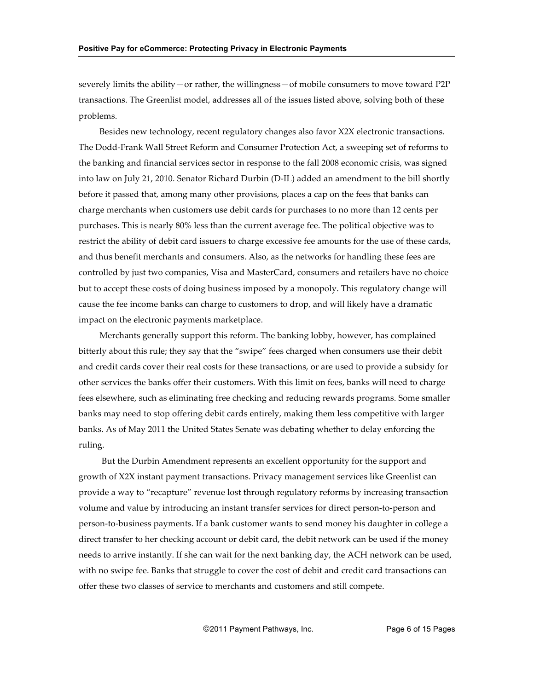severely limits the ability—or rather, the willingness—of mobile consumers to move toward P2P transactions. The Greenlist model, addresses all of the issues listed above, solving both of these problems.

Besides new technology, recent regulatory changes also favor X2X electronic transactions. The Dodd-Frank Wall Street Reform and Consumer Protection Act, a sweeping set of reforms to the banking and financial services sector in response to the fall 2008 economic crisis, was signed into law on July 21, 2010. Senator Richard Durbin (D-IL) added an amendment to the bill shortly before it passed that, among many other provisions, places a cap on the fees that banks can charge merchants when customers use debit cards for purchases to no more than 12 cents per purchases. This is nearly 80% less than the current average fee. The political objective was to restrict the ability of debit card issuers to charge excessive fee amounts for the use of these cards, and thus benefit merchants and consumers. Also, as the networks for handling these fees are controlled by just two companies, Visa and MasterCard, consumers and retailers have no choice but to accept these costs of doing business imposed by a monopoly. This regulatory change will cause the fee income banks can charge to customers to drop, and will likely have a dramatic impact on the electronic payments marketplace.

Merchants generally support this reform. The banking lobby, however, has complained bitterly about this rule; they say that the "swipe" fees charged when consumers use their debit and credit cards cover their real costs for these transactions, or are used to provide a subsidy for other services the banks offer their customers. With this limit on fees, banks will need to charge fees elsewhere, such as eliminating free checking and reducing rewards programs. Some smaller banks may need to stop offering debit cards entirely, making them less competitive with larger banks. As of May 2011 the United States Senate was debating whether to delay enforcing the ruling.

But the Durbin Amendment represents an excellent opportunity for the support and growth of X2X instant payment transactions. Privacy management services like Greenlist can provide a way to "recapture" revenue lost through regulatory reforms by increasing transaction volume and value by introducing an instant transfer services for direct person-to-person and person-to-business payments. If a bank customer wants to send money his daughter in college a direct transfer to her checking account or debit card, the debit network can be used if the money needs to arrive instantly. If she can wait for the next banking day, the ACH network can be used, with no swipe fee. Banks that struggle to cover the cost of debit and credit card transactions can offer these two classes of service to merchants and customers and still compete.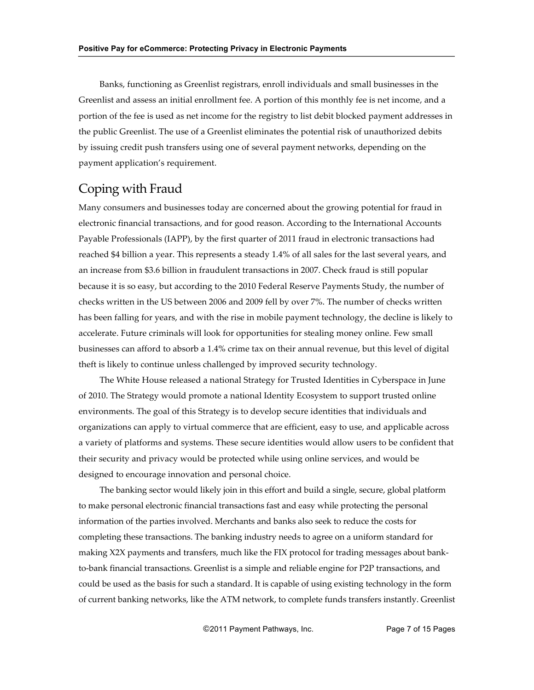Banks, functioning as Greenlist registrars, enroll individuals and small businesses in the Greenlist and assess an initial enrollment fee. A portion of this monthly fee is net income, and a portion of the fee is used as net income for the registry to list debit blocked payment addresses in the public Greenlist. The use of a Greenlist eliminates the potential risk of unauthorized debits by issuing credit push transfers using one of several payment networks, depending on the payment application's requirement.

## Coping with Fraud

Many consumers and businesses today are concerned about the growing potential for fraud in electronic financial transactions, and for good reason. According to the International Accounts Payable Professionals (IAPP), by the first quarter of 2011 fraud in electronic transactions had reached \$4 billion a year. This represents a steady 1.4% of all sales for the last several years, and an increase from \$3.6 billion in fraudulent transactions in 2007. Check fraud is still popular because it is so easy, but according to the 2010 Federal Reserve Payments Study, the number of checks written in the US between 2006 and 2009 fell by over 7%. The number of checks written has been falling for years, and with the rise in mobile payment technology, the decline is likely to accelerate. Future criminals will look for opportunities for stealing money online. Few small businesses can afford to absorb a 1.4% crime tax on their annual revenue, but this level of digital theft is likely to continue unless challenged by improved security technology.

The White House released a national Strategy for Trusted Identities in Cyberspace in June of 2010. The Strategy would promote a national Identity Ecosystem to support trusted online environments. The goal of this Strategy is to develop secure identities that individuals and organizations can apply to virtual commerce that are efficient, easy to use, and applicable across a variety of platforms and systems. These secure identities would allow users to be confident that their security and privacy would be protected while using online services, and would be designed to encourage innovation and personal choice.

The banking sector would likely join in this effort and build a single, secure, global platform to make personal electronic financial transactions fast and easy while protecting the personal information of the parties involved. Merchants and banks also seek to reduce the costs for completing these transactions. The banking industry needs to agree on a uniform standard for making X2X payments and transfers, much like the FIX protocol for trading messages about bankto-bank financial transactions. Greenlist is a simple and reliable engine for P2P transactions, and could be used as the basis for such a standard. It is capable of using existing technology in the form of current banking networks, like the ATM network, to complete funds transfers instantly. Greenlist

©2011 Payment Pathways, Inc. The Page 7 of 15 Pages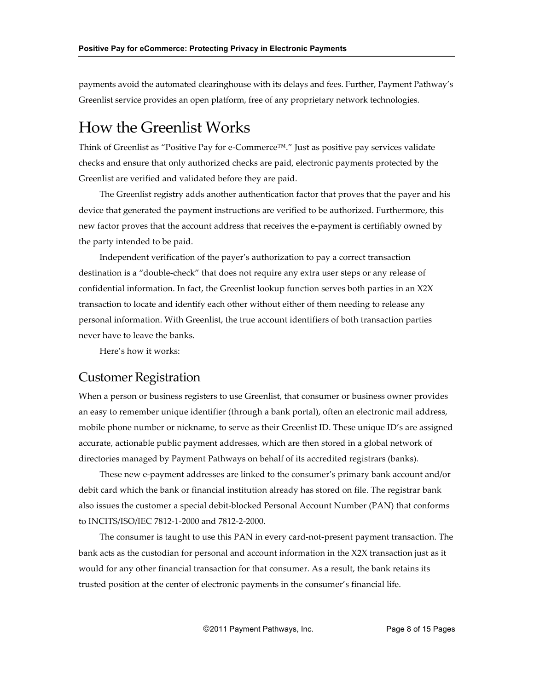payments avoid the automated clearinghouse with its delays and fees. Further, Payment Pathway's Greenlist service provides an open platform, free of any proprietary network technologies.

## How the Greenlist Works

Think of Greenlist as "Positive Pay for e-Commerce™." Just as positive pay services validate checks and ensure that only authorized checks are paid, electronic payments protected by the Greenlist are verified and validated before they are paid.

The Greenlist registry adds another authentication factor that proves that the payer and his device that generated the payment instructions are verified to be authorized. Furthermore, this new factor proves that the account address that receives the e-payment is certifiably owned by the party intended to be paid.

Independent verification of the payer's authorization to pay a correct transaction destination is a "double-check" that does not require any extra user steps or any release of confidential information. In fact, the Greenlist lookup function serves both parties in an  $X2X$ transaction to locate and identify each other without either of them needing to release any personal information. With Greenlist, the true account identifiers of both transaction parties never have to leave the banks.

Here's how it works:

### **Customer Registration**

When a person or business registers to use Greenlist, that consumer or business owner provides an easy to remember unique identifier (through a bank portal), often an electronic mail address, mobile phone number or nickname, to serve as their Greenlist ID. These unique ID's are assigned accurate, actionable public payment addresses, which are then stored in a global network of directories managed by Payment Pathways on behalf of its accredited registrars (banks).

These new e-payment addresses are linked to the consumer's primary bank account and/or debit card which the bank or financial institution already has stored on file. The registrar bank also issues the customer a special debit-blocked Personal Account Number (PAN) that conforms to INCITS/ISO/IEC 7812-1-2000 and 7812-2-2000.

The consumer is taught to use this PAN in every card-not-present payment transaction. The bank acts as the custodian for personal and account information in the X2X transaction just as it would for any other financial transaction for that consumer. As a result, the bank retains its trusted position at the center of electronic payments in the consumer's financial life.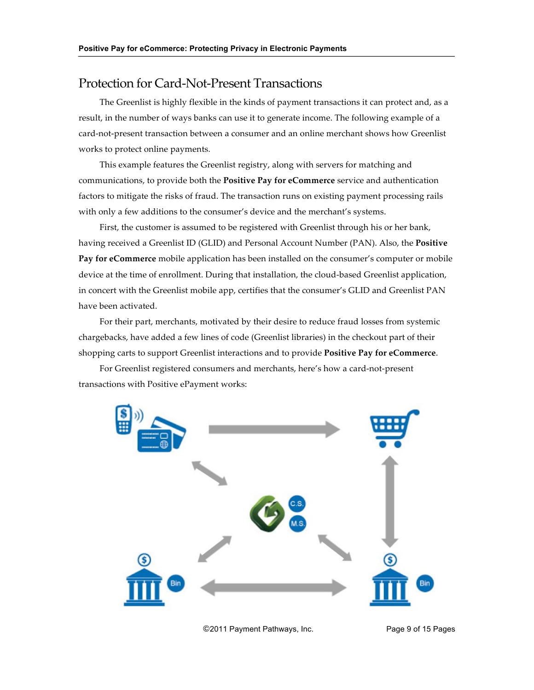### Protection for Card-Not-Present Transactions

The Greenlist is highly flexible in the kinds of payment transactions it can protect and, as a result, in the number of ways banks can use it to generate income. The following example of a card-not-present transaction between a consumer and an online merchant shows how Greenlist works to protect online payments.

This example features the Greenlist registry, along with servers for matching and communications, to provide both the **Positive Pay for eCommerce** service and authentication factors to mitigate the risks of fraud. The transaction runs on existing payment processing rails with only a few additions to the consumer's device and the merchant's systems.

First, the customer is assumed to be registered with Greenlist through his or her bank, having received a Greenlist ID (GLID) and Personal Account Number (PAN). Also, the **Positive Pay for eCommerce** mobile application has been installed on the consumer's computer or mobile device at the time of enrollment. During that installation, the cloud-based Greenlist application, in concert with the Greenlist mobile app, certifies that the consumer's GLID and Greenlist PAN have been activated.

For their part, merchants, motivated by their desire to reduce fraud losses from systemic chargebacks, have added a few lines of code (Greenlist libraries) in the checkout part of their shopping carts to support Greenlist interactions and to provide **Positive Pay for eCommerce**.

For Greenlist registered consumers and merchants, here's how a card-not-present transactions with Positive ePayment works:



©2011 Payment Pathways, Inc. Page 9 of 15 Pages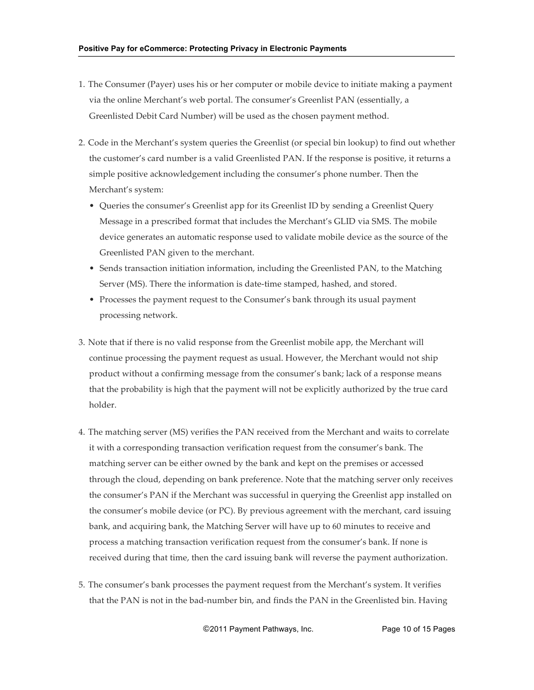- 1. The Consumer (Payer) uses his or her computer or mobile device to initiate making a payment via the online Merchant's web portal. The consumer's Greenlist PAN (essentially, a Greenlisted Debit Card Number) will be used as the chosen payment method.
- 2. Code in the Merchant's system queries the Greenlist (or special bin lookup) to find out whether the customer's card number is a valid Greenlisted PAN. If the response is positive, it returns a simple positive acknowledgement including the consumer's phone number. Then the Merchant's system:
	- Queries the consumer's Greenlist app for its Greenlist ID by sending a Greenlist Query Message in a prescribed format that includes the Merchant's GLID via SMS. The mobile device generates an automatic response used to validate mobile device as the source of the Greenlisted PAN given to the merchant.
	- Sends transaction initiation information, including the Greenlisted PAN, to the Matching Server (MS). There the information is date-time stamped, hashed, and stored.
	- Processes the payment request to the Consumer's bank through its usual payment processing network.
- 3. Note that if there is no valid response from the Greenlist mobile app, the Merchant will continue processing the payment request as usual. However, the Merchant would not ship product without a confirming message from the consumer's bank; lack of a response means that the probability is high that the payment will not be explicitly authorized by the true card holder.
- 4. The matching server (MS) verifies the PAN received from the Merchant and waits to correlate it with a corresponding transaction verification request from the consumer's bank. The matching server can be either owned by the bank and kept on the premises or accessed through the cloud, depending on bank preference. Note that the matching server only receives the consumer's PAN if the Merchant was successful in querying the Greenlist app installed on the consumer's mobile device (or PC). By previous agreement with the merchant, card issuing bank, and acquiring bank, the Matching Server will have up to 60 minutes to receive and process a matching transaction verification request from the consumer's bank. If none is received during that time, then the card issuing bank will reverse the payment authorization.
- 5. The consumer's bank processes the payment request from the Merchant's system. It verifies that the PAN is not in the bad-number bin, and finds the PAN in the Greenlisted bin. Having

©2011 Payment Pathways, Inc. Page 10 of 15 Pages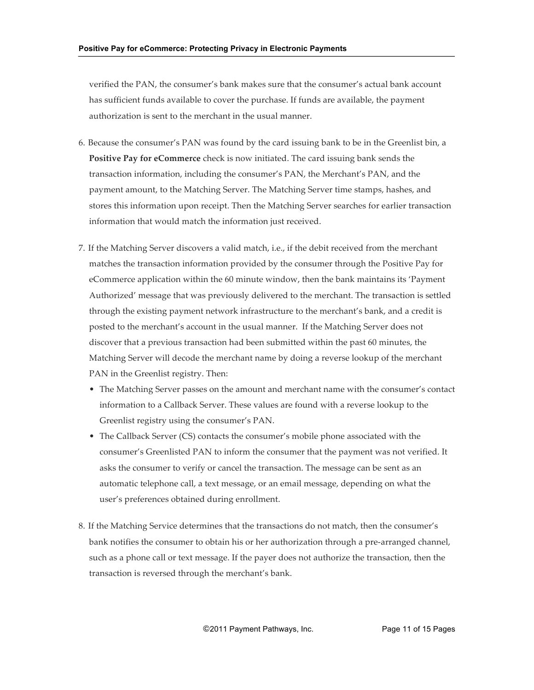verified the PAN, the consumer's bank makes sure that the consumer's actual bank account has sufficient funds available to cover the purchase. If funds are available, the payment authorization is sent to the merchant in the usual manner.

- 6. Because the consumer's PAN was found by the card issuing bank to be in the Greenlist bin, a **Positive Pay for eCommerce** check is now initiated. The card issuing bank sends the transaction information, including the consumer's PAN, the Merchant's PAN, and the payment amount, to the Matching Server. The Matching Server time stamps, hashes, and stores this information upon receipt. Then the Matching Server searches for earlier transaction information that would match the information just received.
- 7. If the Matching Server discovers a valid match, i.e., if the debit received from the merchant matches the transaction information provided by the consumer through the Positive Pay for eCommerce application within the 60 minute window, then the bank maintains its 'Payment Authorized' message that was previously delivered to the merchant. The transaction is settled through the existing payment network infrastructure to the merchant's bank, and a credit is posted to the merchant's account in the usual manner. If the Matching Server does not discover that a previous transaction had been submitted within the past 60 minutes, the Matching Server will decode the merchant name by doing a reverse lookup of the merchant PAN in the Greenlist registry. Then:
	- The Matching Server passes on the amount and merchant name with the consumer's contact information to a Callback Server. These values are found with a reverse lookup to the Greenlist registry using the consumer's PAN.
	- The Callback Server (CS) contacts the consumer's mobile phone associated with the consumer's Greenlisted PAN to inform the consumer that the payment was not verified. It asks the consumer to verify or cancel the transaction. The message can be sent as an automatic telephone call, a text message, or an email message, depending on what the user's preferences obtained during enrollment.
- 8. If the Matching Service determines that the transactions do not match, then the consumer's bank notifies the consumer to obtain his or her authorization through a pre-arranged channel, such as a phone call or text message. If the payer does not authorize the transaction, then the transaction is reversed through the merchant's bank.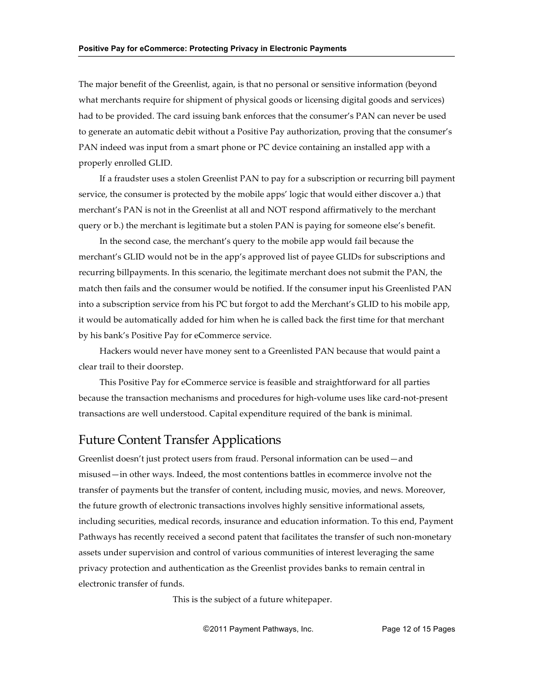The major benefit of the Greenlist, again, is that no personal or sensitive information (beyond what merchants require for shipment of physical goods or licensing digital goods and services) had to be provided. The card issuing bank enforces that the consumer's PAN can never be used to generate an automatic debit without a Positive Pay authorization, proving that the consumer's PAN indeed was input from a smart phone or PC device containing an installed app with a properly enrolled GLID.

If a fraudster uses a stolen Greenlist PAN to pay for a subscription or recurring bill payment service, the consumer is protected by the mobile apps' logic that would either discover a.) that merchant's PAN is not in the Greenlist at all and NOT respond affirmatively to the merchant query or b.) the merchant is legitimate but a stolen PAN is paying for someone else's benefit.

In the second case, the merchant's query to the mobile app would fail because the merchant's GLID would not be in the app's approved list of payee GLIDs for subscriptions and recurring billpayments. In this scenario, the legitimate merchant does not submit the PAN, the match then fails and the consumer would be notified. If the consumer input his Greenlisted PAN into a subscription service from his PC but forgot to add the Merchant's GLID to his mobile app, it would be automatically added for him when he is called back the first time for that merchant by his bank's Positive Pay for eCommerce service.

Hackers would never have money sent to a Greenlisted PAN because that would paint a clear trail to their doorstep.

This Positive Pay for eCommerce service is feasible and straightforward for all parties because the transaction mechanisms and procedures for high-volume uses like card-not-present transactions are well understood. Capital expenditure required of the bank is minimal.

### **Future Content Transfer Applications**

Greenlist doesn't just protect users from fraud. Personal information can be used—and misused—in other ways. Indeed, the most contentions battles in ecommerce involve not the transfer of payments but the transfer of content, including music, movies, and news. Moreover, the future growth of electronic transactions involves highly sensitive informational assets, including securities, medical records, insurance and education information. To this end, Payment Pathways has recently received a second patent that facilitates the transfer of such non-monetary assets under supervision and control of various communities of interest leveraging the same privacy protection and authentication as the Greenlist provides banks to remain central in electronic transfer of funds.

This is the subject of a future whitepaper.

©2011 Payment Pathways, Inc. Page 12 of 15 Pages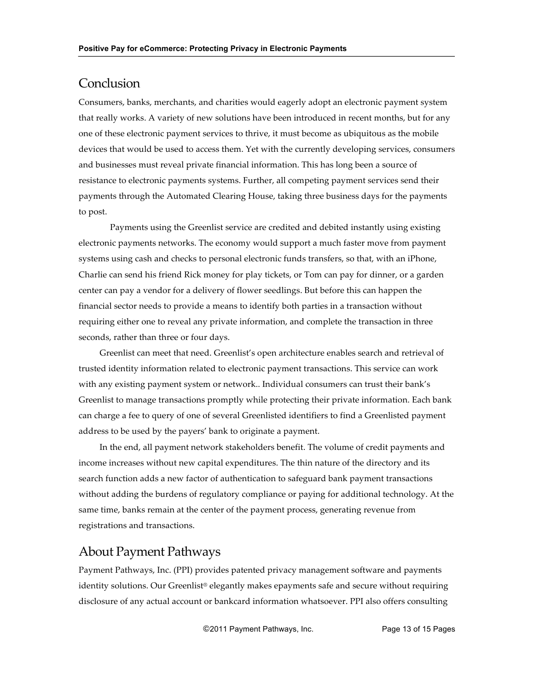### **Conclusion**

Consumers, banks, merchants, and charities would eagerly adopt an electronic payment system that really works. A variety of new solutions have been introduced in recent months, but for any one of these electronic payment services to thrive, it must become as ubiquitous as the mobile devices that would be used to access them. Yet with the currently developing services, consumers and businesses must reveal private financial information. This has long been a source of resistance to electronic payments systems. Further, all competing payment services send their payments through the Automated Clearing House, taking three business days for the payments to post.

Payments using the Greenlist service are credited and debited instantly using existing electronic payments networks. The economy would support a much faster move from payment systems using cash and checks to personal electronic funds transfers, so that, with an iPhone, Charlie can send his friend Rick money for play tickets, or Tom can pay for dinner, or a garden center can pay a vendor for a delivery of flower seedlings. But before this can happen the financial sector needs to provide a means to identify both parties in a transaction without requiring either one to reveal any private information, and complete the transaction in three seconds, rather than three or four days.

Greenlist can meet that need. Greenlist's open architecture enables search and retrieval of trusted identity information related to electronic payment transactions. This service can work with any existing payment system or network.. Individual consumers can trust their bank's Greenlist to manage transactions promptly while protecting their private information. Each bank can charge a fee to query of one of several Greenlisted identifiers to find a Greenlisted payment address to be used by the payers' bank to originate a payment.

In the end, all payment network stakeholders benefit. The volume of credit payments and income increases without new capital expenditures. The thin nature of the directory and its search function adds a new factor of authentication to safeguard bank payment transactions without adding the burdens of regulatory compliance or paying for additional technology. At the same time, banks remain at the center of the payment process, generating revenue from registrations and transactions.

### About Payment Pathways

Payment Pathways, Inc. (PPI) provides patented privacy management software and payments identity solutions. Our Greenlist® elegantly makes epayments safe and secure without requiring disclosure of any actual account or bankcard information whatsoever. PPI also offers consulting